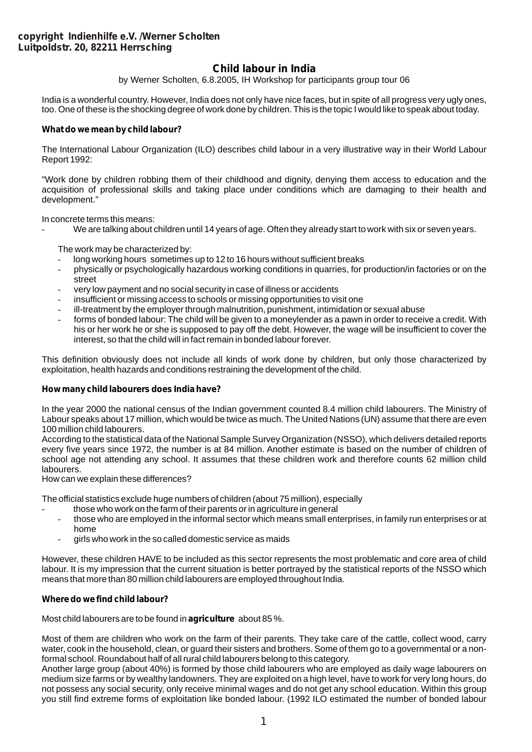# **Child labour in India**

by Werner Scholten, 6.8.2005, IH Workshop for participants group tour 06

India is a wonderful country. However, India does not only have nice faces, but in spite of all progress very ugly ones, too. One of these is the shocking degree of work done by children. This is the topic I would like to speak about today.

# **What do we mean by child labour?**

The International Labour Organization (ILO) describes child labour in a very illustrative way in their World Labour Report 1992:

"Work done by children robbing them of their childhood and dignity, denying them access to education and the acquisition of professional skills and taking place under conditions which are damaging to their health and development."

In concrete terms this means:

We are talking about children until 14 years of age. Often they already start to work with six or seven years.

The work may be characterized by:

- long working hours sometimes up to 12 to 16 hours without sufficient breaks
- physically or psychologically hazardous working conditions in quarries, for production/in factories or on the street
- very low payment and no social security in case of illness or accidents
- insufficient or missing access to schools or missing opportunities to visit one
- ill-treatment by the employer through malnutrition, punishment, intimidation or sexual abuse
- forms of bonded labour: The child will be given to a moneylender as a pawn in order to receive a credit. With his or her work he or she is supposed to pay off the debt. However, the wage will be insufficient to cover the interest, so that the child will in fact remain in bonded labour forever.

This definition obviously does not include all kinds of work done by children, but only those characterized by exploitation, health hazards and conditions restraining the development of the child.

#### **How many child labourers does India have?**

In the year 2000 the national census of the Indian government counted 8.4 million child labourers. The Ministry of Labour speaks about 17 million, which would be twice as much. The United Nations (UN) assume that there are even 100 million child labourers.

According to the statistical data of the National Sample Survey Organization (NSSO), which delivers detailed reports every five years since 1972, the number is at 84 million. Another estimate is based on the number of children of school age not attending any school. It assumes that these children work and therefore counts 62 million child labourers.

How can we explain these differences?

The official statistics exclude huge numbers of children (about 75 million), especially

- those who work on the farm of their parents or in agriculture in general
- those who are employed in the informal sector which means small enterprises, in family run enterprises or at home
- girls who work in the so called domestic service as maids

However, these children HAVE to be included as this sector represents the most problematic and core area of child labour. It is my impression that the current situation is better portrayed by the statistical reports of the NSSO which means that more than 80 million child labourers are employed throughout India.

# **Where do we find child labour?**

Most child labourers are to be found in **agriculture** about 85 %.

Most of them are children who work on the farm of their parents. They take care of the cattle, collect wood, carry water, cook in the household, clean, or guard their sisters and brothers. Some of them go to a governmental or a nonformal school. Roundabout half of all rural child labourers belong to this category.

Another large group (about 40%) is formed by those child labourers who are employed as daily wage labourers on medium size farms or by wealthy landowners. They are exploited on a high level, have to work for very long hours, do not possess any social security, only receive minimal wages and do not get any school education. Within this group you still find extreme forms of exploitation like bonded labour. (1992 ILO estimated the number of bonded labour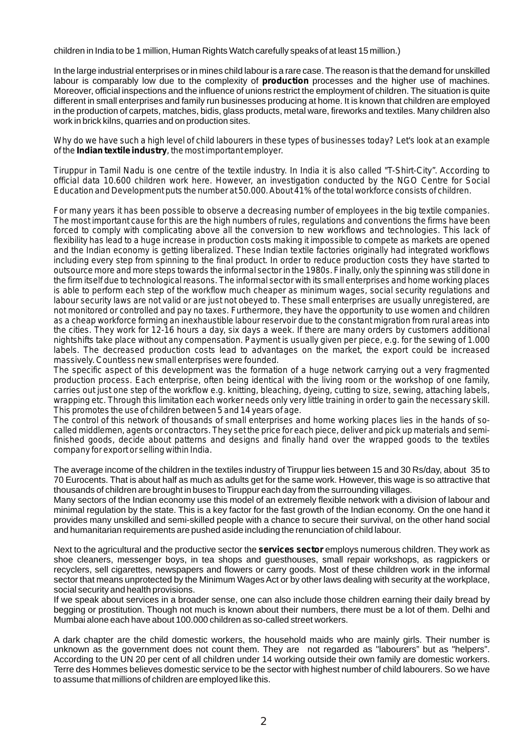children in India to be 1 million, Human Rights Watch carefully speaks of at least 15 million.)

In the large industrial enterprises or in mines child labour is a rare case. The reason is that the demand for unskilled labour is comparably low due to the complexity of **production** processes and the higher use of machines. Moreover, official inspections and the influence of unions restrict the employment of children. The situation is quite different in small enterprises and family run businesses producing at home. It is known that children are employed in the production of carpets, matches, bidis, glass products, metal ware, fireworks and textiles. Many children also work in brick kilns, quarries and on production sites.

*Why do we have such a high level of child labourers in these types of businesses today? Let's look at an example of the Indian textile industry, the most important employer.*

*Tiruppur in Tamil Nadu is one centre of the textile industry. In India it is also called "T-Shirt-City". According to official data 10.600 children work here. However, an investigation conducted by the NGO Centre for Social Education and Development puts the number at 50.000. About 41% of the total workforce consists of children.*

*For many years it has been possible to observe a decreasing number of employees in the big textile companies. The most important cause for this are the high numbers of rules, regulations and conventions the firms have been forced to comply with complicating above all the conversion to new workflows and technologies. This lack of flexibility has lead to a huge increase in production costs making it impossible to compete as markets are opened and the Indian economy is getting liberalized. These Indian textile factories originally had integrated workflows including every step from spinning to the final product. In order to reduce production costs they have started to outsource more and more steps towards the informal sector in the 1980s. Finally, only the spinning was still done in the firm itself due to technological reasons. The informal sector with its small enterprises and home working places is able to perform each step of the workflow much cheaper as minimum wages, social security regulations and labour security laws are not valid or are just not obeyed to. These small enterprises are usually unregistered, are not monitored or controlled and pay no taxes. Furthermore, they have the opportunity to use women and children as a cheap workforce forming an inexhaustible labour reservoir due to the constant migration from rural areas into the cities. They work for 12-16 hours a day, six days a week. If there are many orders by customers additional nightshifts take place without any compensation. Payment is usually given per piece, e.g. for the sewing of 1.000 labels. The decreased production costs lead to advantages on the market, the export could be increased massively. Countless new small enterprises were founded.*

*The specific aspect of this development was the formation of a huge network carrying out a very fragmented production process. Each enterprise, often being identical with the living room or the workshop of one family, carries out just one step of the workflow e.g. knitting, bleaching, dyeing, cutting to size, sewing, attaching labels, wrapping etc. Through this limitation each worker needs only very little training in order to gain the necessary skill. This promotes the use of children between 5 and 14 years of age.*

*The control of this network of thousands of small enterprises and home working places lies in the hands of socalled middlemen, agents or contractors. They set the price for each piece, deliver and pick up materials and semifinished goods, decide about patterns and designs and finally hand over the wrapped goods to the textiles company for export or selling within India.*

The average income of the children in the textiles industry of Tiruppur lies between 15 and 30 Rs/day, about 35 to 70 Eurocents. That is about half as much as adults get for the same work. However, this wage is so attractive that thousands of children are brought in buses to Tiruppur each day from the surrounding villages.

Many sectors of the Indian economy use this model of an extremely flexible network with a division of labour and minimal regulation by the state. This is a key factor for the fast growth of the Indian economy. On the one hand it provides many unskilled and semi-skilled people with a chance to secure their survival, on the other hand social and humanitarian requirements are pushed aside including the renunciation of child labour.

Next to the agricultural and the productive sector the **services sector** employs numerous children. They work as shoe cleaners, messenger boys, in tea shops and guesthouses, small repair workshops, as ragpickers or recyclers, sell cigarettes, newspapers and flowers or carry goods. Most of these children work in the informal sector that means unprotected by the Minimum Wages Act or by other laws dealing with security at the workplace, social security and health provisions.

If we speak about services in a broader sense, one can also include those children earning their daily bread by begging or prostitution. Though not much is known about their numbers, there must be a lot of them. Delhi and Mumbai alone each have about 100.000 children as so-called street workers.

A dark chapter are the child domestic workers, the household maids who are mainly girls. Their number is unknown as the government does not count them. They are not regarded as "labourers" but as "helpers". According to the UN 20 per cent of all children under 14 working outside their own family are domestic workers. Terre des Hommes believes domestic service to be the sector with highest number of child labourers. So we have to assume that millions of children are employed like this.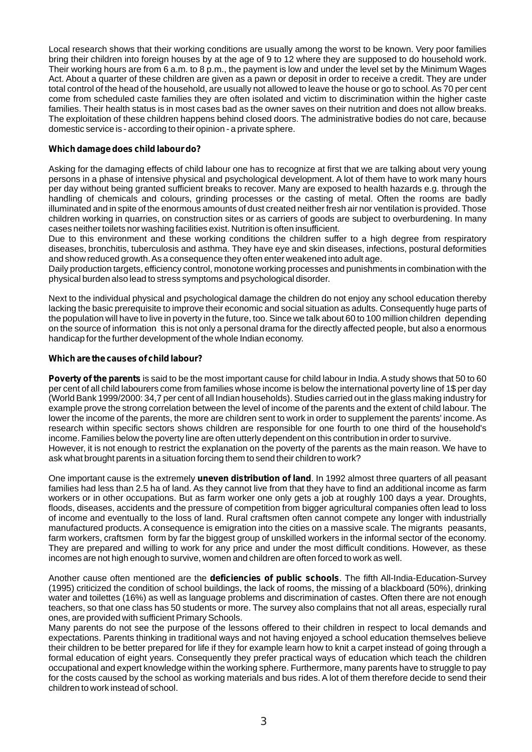Local research shows that their working conditions are usually among the worst to be known. Very poor families bring their children into foreign houses by at the age of 9 to 12 where they are supposed to do household work. Their working hours are from 6 a.m. to 8 p.m., the payment is low and under the level set by the Minimum Wages Act. About a quarter of these children are given as a pawn or deposit in order to receive a credit. They are under total control of the head of the household, are usually not allowed to leave the house or go to school. As 70 per cent come from scheduled caste families they are often isolated and victim to discrimination within the higher caste families. Their health status is in most cases bad as the owner saves on their nutrition and does not allow breaks. The exploitation of these children happens behind closed doors. The administrative bodies do not care, because domestic service is - according to their opinion - a private sphere.

## **Which damage does child labour do?**

Asking for the damaging effects of child labour one has to recognize at first that we are talking about very young persons in a phase of intensive physical and psychological development. A lot of them have to work many hours per day without being granted sufficient breaks to recover. Many are exposed to health hazards e.g. through the handling of chemicals and colours, grinding processes or the casting of metal. Often the rooms are badly illuminated and in spite of the enormous amounts of dust created neither fresh air nor ventilation is provided. Those children working in quarries, on construction sites or as carriers of goods are subject to overburdening. In many cases neither toilets nor washing facilities exist. Nutrition is often insufficient.

Due to this environment and these working conditions the children suffer to a high degree from respiratory diseases, bronchitis, tuberculosis and asthma. They have eye and skin diseases, infections, postural deformities and show reduced growth. As a consequence they often enter weakened into adult age.

Daily production targets, efficiency control, monotone working processes and punishments in combination with the physical burden also lead to stress symptoms and psychological disorder.

Next to the individual physical and psychological damage the children do not enjoy any school education thereby lacking the basic prerequisite to improve their economic and social situation as adults. Consequently huge parts of the population will have to live in poverty in the future, too. Since we talk about 60 to 100 million children depending on the source of information this is not only a personal drama for the directly affected people, but also a enormous handicap for the further development of the whole Indian economy.

## **Which are the causes of child labour?**

**Poverty of the parents**is said to be the most important cause for child labour in India. Astudy shows that 50 to 60 per cent of all child labourers come from families whose income is below the international poverty line of 1\$ per day (World Bank 1999/2000: 34,7 per cent of all Indian households). Studies carried out in the glass making industry for example prove the strong correlation between the level of income of the parents and the extent of child labour. The lower the income of the parents, the more are children sent to work in order to supplement the parents' income. As research within specific sectors shows children are responsible for one fourth to one third of the household's income. Families below the poverty line are often utterly dependent on this contribution in order to survive. However, it is not enough to restrict the explanation on the poverty of the parents as the main reason. We have to

ask what brought parents in a situation forcing them to send their children to work?

One important cause is the extremely **uneven distribution of land**. In 1992 almost three quarters of all peasant families had less than 2.5 ha of land. As they cannot live from that they have to find an additional income as farm workers or in other occupations. But as farm worker one only gets a job at roughly 100 days a year. Droughts, floods, diseases, accidents and the pressure of competition from bigger agricultural companies often lead to loss of income and eventually to the loss of land. Rural craftsmen often cannot compete any longer with industrially manufactured products. A consequence is emigration into the cities on a massive scale. The migrants peasants, farm workers, craftsmen form by far the biggest group of unskilled workers in the informal sector of the economy. They are prepared and willing to work for any price and under the most difficult conditions. However, as these incomes are not high enough to survive, women and children are often forced to work as well.

Another cause often mentioned are the **deficiencies of public schools**. The fifth All-India-Education-Survey (1995) criticized the condition of school buildings, the lack of rooms, the missing of a blackboard (50%), drinking water and toilettes (16%) as well as language problems and discrimination of castes. Often there are not enough teachers, so that one class has 50 students or more. The survey also complains that not all areas, especially rural ones, are provided with sufficient Primary Schools.

Many parents do not see the purpose of the lessons offered to their children in respect to local demands and expectations. Parents thinking in traditional ways and not having enjoyed a school education themselves believe their children to be better prepared for life if they for example learn how to knit a carpet instead of going through a formal education of eight years. Consequently they prefer practical ways of education which teach the children occupational and expert knowledge within the working sphere. Furthermore, many parents have to struggle to pay for the costs caused by the school as working materials and bus rides. A lot of them therefore decide to send their children to work instead of school.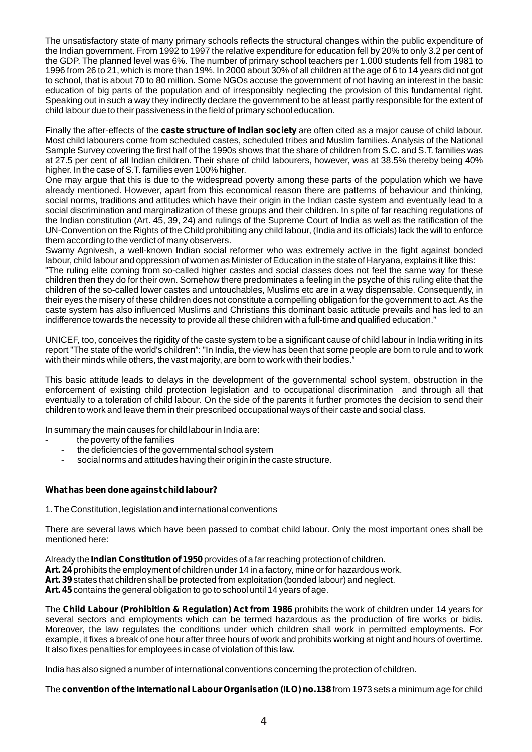The unsatisfactory state of many primary schools reflects the structural changes within the public expenditure of the Indian government. From 1992 to 1997 the relative expenditure for education fell by 20% to only 3.2 per cent of the GDP. The planned level was 6%. The number of primary school teachers per 1.000 students fell from 1981 to 1996 from 26 to 21, which is more than 19%. In 2000 about 30% of all children at the age of 6 to 14 years did not got to school, that is about 70 to 80 million. Some NGOs accuse the government of not having an interest in the basic education of big parts of the population and of irresponsibly neglecting the provision of this fundamental right. Speaking out in such a way they indirectly declare the government to be at least partly responsible for the extent of child labour due to their passiveness in the field of primary school education.

Finally the after-effects of the **caste structure of Indian society** are often cited as a major cause of child labour. Most child labourers come from scheduled castes, scheduled tribes and Muslim families. Analysis of the National Sample Survey covering the first half of the 1990s shows that the share of children from S.C. and S.T. families was at 27.5 per cent of all Indian children. Their share of child labourers, however, was at 38.5% thereby being 40% higher. In the case of S.T. families even 100% higher.

One may argue that this is due to the widespread poverty among these parts of the population which we have already mentioned. However, apart from this economical reason there are patterns of behaviour and thinking, social norms, traditions and attitudes which have their origin in the Indian caste system and eventually lead to a social discrimination and marginalization of these groups and their children. In spite of far reaching regulations of the Indian constitution (Art. 45, 39, 24) and rulings of the Supreme Court of India as well as the ratification of the UN-Convention on the Rights of the Child prohibiting any child labour, (India and its officials) lack the will to enforce them according to the verdict of many observers.

Swamy Agnivesh, a well-known Indian social reformer who was extremely active in the fight against bonded labour, child labour and oppression of women as Minister of Education in the state of Haryana, explains it like this:

"The ruling elite coming from so-called higher castes and social classes does not feel the same way for these children then they do for their own. Somehow there predominates a feeling in the psyche of this ruling elite that the children of the so-called lower castes and untouchables, Muslims etc are in a way dispensable. Consequently, in their eyes the misery of these children does not constitute a compelling obligation for the government to act. As the caste system has also influenced Muslims and Christians this dominant basic attitude prevails and has led to an indifference towards the necessity to provide all these children with a full-time and qualified education."

UNICEF, too, conceives the rigidity of the caste system to be a significant cause of child labour in India writing in its report "The state of the world's children": "In India, the view has been that some people are born to rule and to work with their minds while others, the vast majority, are born to work with their bodies."

This basic attitude leads to delays in the development of the governmental school system, obstruction in the enforcement of existing child protection legislation and to occupational discrimination and through all that eventually to a toleration of child labour. On the side of the parents it further promotes the decision to send their children to work and leave them in their prescribed occupational ways of their caste and social class.

In summary the main causes for child labour in India are:

- the poverty of the families
- the deficiencies of the governmental school system
- social norms and attitudes having their origin in the caste structure.

# **What has been done against child labour?**

#### 1. The Constitution, legislation and international conventions

There are several laws which have been passed to combat child labour. Only the most important ones shall be mentioned here:

Already the **Indian Constitution of 1950**provides of a far reaching protection of children.

**Art. 24**prohibits the employment of children under 14 in a factory, mine or for hazardous work.

**Art. 39**states that children shall be protected from exploitation (bonded labour) and neglect.

**Art. 45**contains the general obligation to go to school until 14 years of age.

The **Child Labour (Prohibition & Regulation) Act from 1986** prohibits the work of children under 14 years for several sectors and employments which can be termed hazardous as the production of fire works or bidis. Moreover, the law regulates the conditions under which children shall work in permitted employments. For example, it fixes a break of one hour after three hours of work and prohibits working at night and hours of overtime. It also fixes penalties for employees in case of violation of this law.

India has also signed a number of international conventions concerning the protection of children.

The **convention of the International Labour Organisation (ILO) no.138**from 1973 sets a minimum age for child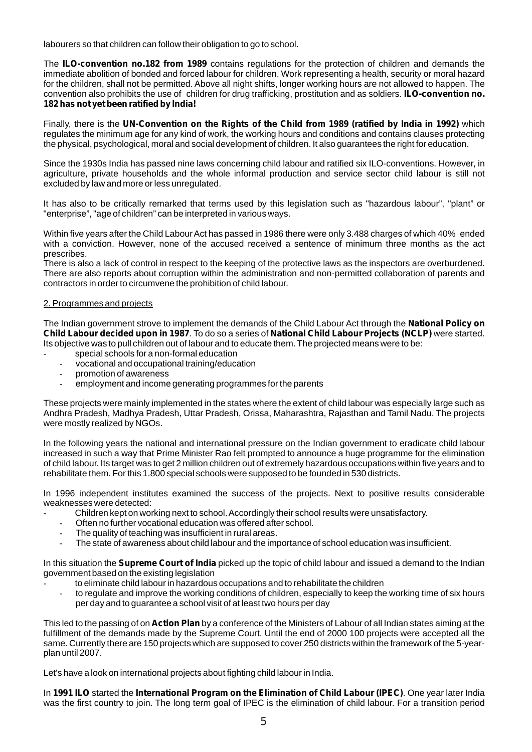labourers so that children can follow their obligation to go to school.

The **ILO-convention no.182 from 1989** contains regulations for the protection of children and demands the immediate abolition of bonded and forced labour for children. Work representing a health, security or moral hazard for the children, shall not be permitted. Above all night shifts, longer working hours are not allowed to happen. The convention also prohibits the use of children for drug trafficking, prostitution and as soldiers. **ILO-convention no. 182 has not yet been ratified by India!**

Finally, there is the **UN-Convention on the Rights of the Child from 1989 (ratified by India in 1992)** which regulates the minimum age for any kind of work, the working hours and conditions and contains clauses protecting the physical, psychological, moral and social development of children. It also guarantees the right for education.

Since the 1930s India has passed nine laws concerning child labour and ratified six ILO-conventions. However, in agriculture, private households and the whole informal production and service sector child labour is still not excluded by law and more or less unregulated.

It has also to be critically remarked that terms used by this legislation such as "hazardous labour", "plant" or "enterprise", "age of children" can be interpreted in various ways.

Within five years after the Child Labour Act has passed in 1986 there were only 3.488 charges of which 40% ended with a conviction. However, none of the accused received a sentence of minimum three months as the act prescribes.

There is also a lack of control in respect to the keeping of the protective laws as the inspectors are overburdened. There are also reports about corruption within the administration and non-permitted collaboration of parents and contractors in order to circumvene the prohibition of child labour.

## 2. Programmes and projects

The Indian government strove to implement the demands of the Child Labour Act through the **National Policy on Child Labour decided upon in 1987**. To do so a series of **National Child Labour Projects (NCLP)** were started. Its objective was to pull children out of labour and to educate them. The projected means were to be:

- special schools for a non-formal education
- vocational and occupational training/education
- promotion of awareness
- employment and income generating programmes for the parents

These projects were mainly implemented in the states where the extent of child labour was especially large such as Andhra Pradesh, Madhya Pradesh, Uttar Pradesh, Orissa, Maharashtra, Rajasthan and Tamil Nadu. The projects were mostly realized by NGOs.

In the following years the national and international pressure on the Indian government to eradicate child labour increased in such a way that Prime Minister Rao felt prompted to announce a huge programme for the elimination of child labour. Its target was to get 2 million children out of extremely hazardous occupations within five years and to rehabilitate them. For this 1.800 special schools were supposed to be founded in 530 districts.

In 1996 independent institutes examined the success of the projects. Next to positive results considerable weaknesses were detected:

- Children kept on working next to school. Accordingly their school results were unsatisfactory.
- Often no further vocational education was offered after school.
- The quality of teaching was insufficient in rural areas.
- The state of awareness about child labour and the importance of school education was insufficient.

In this situation the **Supreme Court of India** picked up the topic of child labour and issued a demand to the Indian government based on the existing legislation

- to eliminate child labour in hazardous occupations and to rehabilitate the children
- to regulate and improve the working conditions of children, especially to keep the working time of six hours per day and to guarantee a school visit of at least two hours per day

This led to the passing of on **Action Plan** by a conference of the Ministers of Labour of all Indian states aiming at the fulfillment of the demands made by the Supreme Court. Until the end of 2000 100 projects were accepted all the same. Currently there are 150 projects which are supposed to cover 250 districts within the framework of the 5-yearplan until 2007.

Let's have a look on international projects about fighting child labour in India.

In **1991 ILO** started the **International Program on the Elimination of Child Labour (IPEC)**. One year later India was the first country to join. The long term goal of IPEC is the elimination of child labour. For a transition period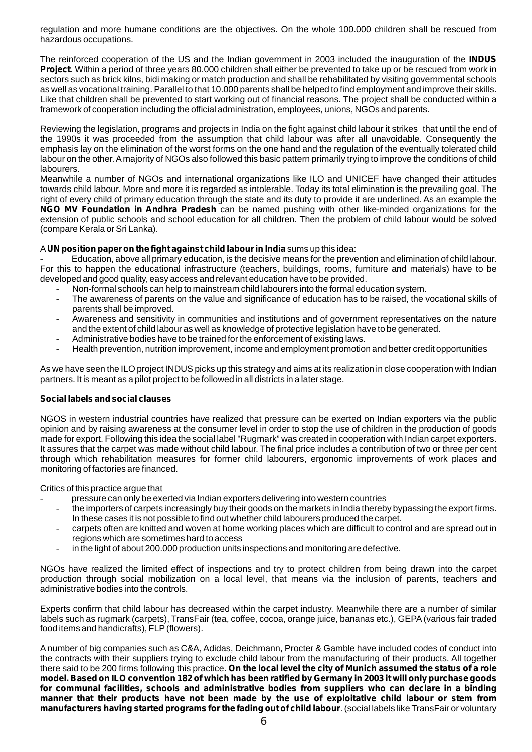regulation and more humane conditions are the objectives. On the whole 100.000 children shall be rescued from hazardous occupations.

The reinforced cooperation of the US and the Indian government in 2003 included the inauguration of the **INDUS Project**. Within a period of three years 80.000 children shall either be prevented to take up or be rescued from work in sectors such as brick kilns, bidi making or match production and shall be rehabilitated by visiting governmental schools as well as vocational training. Parallel to that 10.000 parents shall be helped to find employment and improve their skills. Like that children shall be prevented to start working out of financial reasons. The project shall be conducted within a framework of cooperation including the official administration, employees, unions, NGOs and parents.

Reviewing the legislation, programs and projects in India on the fight against child labour it strikes that until the end of the 1990s it was proceeded from the assumption that child labour was after all unavoidable. Consequently the emphasis lay on the elimination of the worst forms on the one hand and the regulation of the eventually tolerated child labour on the other. Amajority of NGOs also followed this basic pattern primarily trying to improve the conditions of child labourers.

Meanwhile a number of NGOs and international organizations like ILO and UNICEF have changed their attitudes towards child labour. More and more it is regarded as intolerable. Today its total elimination is the prevailing goal. The right of every child of primary education through the state and its duty to provide it are underlined. As an example the *NGO MV Foundation in Andhra Pradesh* can be named pushing with other like-minded organizations for the extension of public schools and school education for all children. Then the problem of child labour would be solved (compare Kerala or Sri Lanka).

## A**UN position paper on the fight against child labour in India**sums up this idea:

- Education, above all primary education, is the decisive means for the prevention and elimination of child labour. For this to happen the educational infrastructure (teachers, buildings, rooms, furniture and materials) have to be developed and good quality, easy access and relevant education have to be provided.

- Non-formal schools can help to mainstream child labourers into the formal education system.
- The awareness of parents on the value and significance of education has to be raised, the vocational skills of parents shall be improved.
- Awareness and sensitivity in communities and institutions and of government representatives on the nature and the extent of child labour as well as knowledge of protective legislation have to be generated.
- Administrative bodies have to be trained for the enforcement of existing laws.
- Health prevention, nutrition improvement, income and employment promotion and better credit opportunities

As we have seen the ILO project INDUS picks up this strategy and aims at its realization in close cooperation with Indian partners. It is meant as a pilot project to be followed in all districts in a later stage.

#### **Social labels and social clauses**

NGOS in western industrial countries have realized that pressure can be exerted on Indian exporters via the public opinion and by raising awareness at the consumer level in order to stop the use of children in the production of goods made for export. Following this idea the social label "Rugmark" was created in cooperation with Indian carpet exporters. It assures that the carpet was made without child labour. The final price includes a contribution of two or three per cent through which rehabilitation measures for former child labourers, ergonomic improvements of work places and monitoring of factories are financed.

Critics of this practice argue that

- pressure can only be exerted via Indian exporters delivering into western countries
- the importers of carpets increasingly buy their goods on the markets in India thereby bypassing the export firms. In these cases it is not possible to find out whether child labourers produced the carpet.
- carpets often are knitted and woven at home working places which are difficult to control and are spread out in regions which are sometimes hard to access
- in the light of about 200.000 production units inspections and monitoring are defective.

NGOs have realized the limited effect of inspections and try to protect children from being drawn into the carpet production through social mobilization on a local level, that means via the inclusion of parents, teachers and administrative bodies into the controls.

Experts confirm that child labour has decreased within the carpet industry. Meanwhile there are a number of similar labels such as rugmark (carpets), TransFair (tea, coffee, cocoa, orange juice, bananas etc.), GEPA(various fair traded food items and handicrafts), FLP(flowers).

A number of big companies such as C&A, Adidas, Deichmann, Procter & Gamble have included codes of conduct into the contracts with their suppliers trying to exclude child labour from the manufacturing of their products. All together there said to be 200 firms following this practice. *On the local level the city of Munich assumed the status of a role model. Based on ILO convention 182 of which has been ratified by Germany in 2003it will only purchase goods for communal facilities, schools and administrative bodies from suppliers who can declare in a binding manner that their products have not been made by the use of exploitative child labour or stem from manufacturers having started programs for the fading out of child labour*. (social labels like TransFair or voluntary